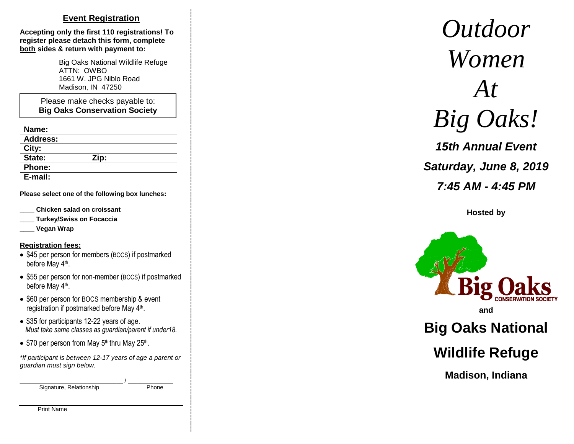# **Event Registration**

**Accepting only the first 110 registrations! To register please detach this form, complete both sides & return with payment to:** 

> Big Oaks National Wildlife Refuge ATTN: OWBO 1661 W. JPG Niblo Road Madison, IN 47250

Please make checks payable to: **Big Oaks Conservation Society**

| п<br>Ш<br>ш |  |
|-------------|--|
|-------------|--|

| .               |      |
|-----------------|------|
| <b>Address:</b> |      |
| City:           |      |
| State:          | Zip: |
| <b>Phone:</b>   |      |
| E-mail:         |      |

**Please select one of the following box lunches :**

- **\_\_\_\_ Chicken salad on croissant**
- **\_\_\_\_ Turkey/Swiss on Focaccia**
- **\_\_\_\_ Vegan Wrap**

#### **Registration fee s:**

- \$45 per person for members (BOCS) if postmarked before May 4<sup>th</sup>.
- \$55 per person for non-member (BOCS) if postmarked before May 4<sup>th</sup>.
- \$60 per person for BOCS membership & event registration if postmarked before May 4<sup>th</sup>.
- \$35 for participants 12-22 years of age.  *Must take same classes as guardian/parent if under18.*
- $\bullet$  \$70 per person from May 5<sup>th</sup> thru May 25<sup>th</sup>.

*\*If participant is between 1 2 -17 years of age a parent or guardian must sign below.*

\_\_\_\_\_\_\_\_\_\_\_\_\_\_\_\_\_\_\_\_\_\_\_\_\_\_\_\_\_\_\_\_ / \_\_\_\_\_\_\_\_\_\_\_\_\_\_ Signature, Relationship

**Phone** 

Print Name

*Outdoor Women At Big Oaks !* **Outdoor**<br>
Women<br>
At<br>
Big Oaks<br>
15th Annual Eve<br>
Saturday, June 8, 2<br>
7.45 AM - 4.45 P.<br>
Hosted by<br>
Big Oaks<br>
Big Oaks<br>
Natio<br>
Big Oaks<br>
Natio<br>
Wildlife Refug<br>
Madison, Indiana

*1 5th Annual Event Saturday, June 8, 20 1 9 7:45 AM - 4:45 PM*

**Hosted by**



# **Big Oaks National**